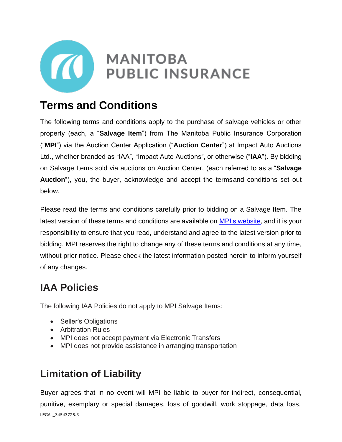

# **Terms and Conditions**

The following terms and conditions apply to the purchase of salvage vehicles or other property (each, a "**Salvage Item**") from The Manitoba Public Insurance Corporation ("**MPI**") via the Auction Center Application ("**Auction Center**") at Impact Auto Auctions Ltd., whether branded as "IAA", "Impact Auto Auctions", or otherwise ("**IAA**"). By bidding on Salvage Items sold via auctions on Auction Center, (each referred to as a "**Salvage Auction**"), you, the buyer, acknowledge and accept the termsand conditions set out below.

Please read the terms and conditions carefully prior to bidding on a Salvage Item. The latest version of these terms and conditions are available on MPI's [website,](https://www.mpi.mb.ca/Pages/salvage-terms-conditions-effective-september-30.aspx) and it is your responsibility to ensure that you read, understand and agree to the latest version prior to bidding. MPI reserves the right to change any of these terms and conditions at any time, without prior notice. Please check the latest information posted herein to inform yourself of any changes.

# **IAA Policies**

The following IAA Policies do not apply to MPI Salvage Items:

- Seller's Obligations
- Arbitration Rules
- MPI does not accept payment via Electronic Transfers
- MPI does not provide assistance in arranging transportation

# **Limitation of Liability**

LEGAL\_34543725.3 Buyer agrees that in no event will MPI be liable to buyer for indirect, consequential, punitive, exemplary or special damages, loss of goodwill, work stoppage, data loss,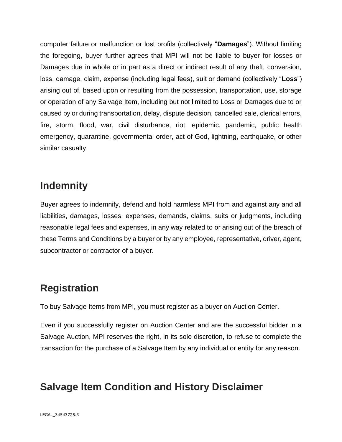computer failure or malfunction or lost profits (collectively "**Damages**"). Without limiting the foregoing, buyer further agrees that MPI will not be liable to buyer for losses or Damages due in whole or in part as a direct or indirect result of any theft, conversion, loss, damage, claim, expense (including legal fees), suit or demand (collectively "**Loss**") arising out of, based upon or resulting from the possession, transportation, use, storage or operation of any Salvage Item, including but not limited to Loss or Damages due to or caused by or during transportation, delay, dispute decision, cancelled sale, clerical errors, fire, storm, flood, war, civil disturbance, riot, epidemic, pandemic, public health emergency, quarantine, governmental order, act of God, lightning, earthquake, or other similar casualty.

## **Indemnity**

Buyer agrees to indemnify, defend and hold harmless MPI from and against any and all liabilities, damages, losses, expenses, demands, claims, suits or judgments, including reasonable legal fees and expenses, in any way related to or arising out of the breach of these Terms and Conditions by a buyer or by any employee, representative, driver, agent, subcontractor or contractor of a buyer.

## **Registration**

To buy Salvage Items from MPI, you must register as a buyer on Auction Center.

Even if you successfully register on Auction Center and are the successful bidder in a Salvage Auction, MPI reserves the right, in its sole discretion, to refuse to complete the transaction for the purchase of a Salvage Item by any individual or entity for any reason.

# **Salvage Item Condition and History Disclaimer**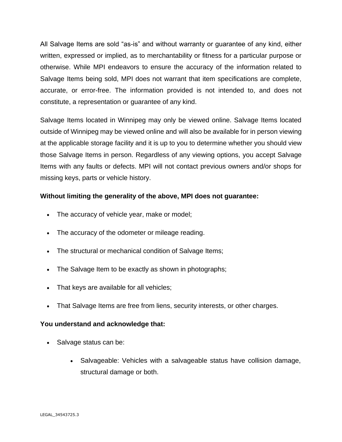All Salvage Items are sold "as-is" and without warranty or guarantee of any kind, either written, expressed or implied, as to merchantability or fitness for a particular purpose or otherwise. While MPI endeavors to ensure the accuracy of the information related to Salvage Items being sold, MPI does not warrant that item specifications are complete, accurate, or error-free. The information provided is not intended to, and does not constitute, a representation or guarantee of any kind.

Salvage Items located in Winnipeg may only be viewed online. Salvage Items located outside of Winnipeg may be viewed online and will also be available for in person viewing at the applicable storage facility and it is up to you to determine whether you should view those Salvage Items in person. Regardless of any viewing options, you accept Salvage Items with any faults or defects. MPI will not contact previous owners and/or shops for missing keys, parts or vehicle history.

#### **Without limiting the generality of the above, MPI does not guarantee:**

- The accuracy of vehicle year, make or model;
- The accuracy of the odometer or mileage reading.
- The structural or mechanical condition of Salvage Items;
- The Salvage Item to be exactly as shown in photographs;
- That keys are available for all vehicles;
- That Salvage Items are free from liens, security interests, or other charges.

#### **You understand and acknowledge that:**

- Salvage status can be:
	- Salvageable: Vehicles with a salvageable status have collision damage, structural damage or both.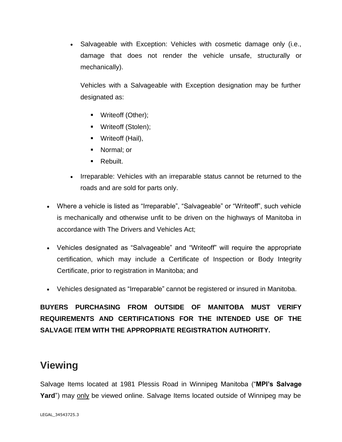• Salvageable with Exception: Vehicles with cosmetic damage only (i.e., damage that does not render the vehicle unsafe, structurally or mechanically).

Vehicles with a Salvageable with Exception designation may be further designated as:

- Writeoff (Other);
- Writeoff (Stolen);
- Writeoff (Hail),
- Normal; or
- Rebuilt.
- Irreparable: Vehicles with an irreparable status cannot be returned to the roads and are sold for parts only.
- Where a vehicle is listed as "Irreparable", "Salvageable" or "Writeoff", such vehicle is mechanically and otherwise unfit to be driven on the highways of Manitoba in accordance with The Drivers and Vehicles Act;
- Vehicles designated as "Salvageable" and "Writeoff" will require the appropriate certification, which may include a Certificate of Inspection or Body Integrity Certificate, prior to registration in Manitoba; and
- Vehicles designated as "Irreparable" cannot be registered or insured in Manitoba.

#### **BUYERS PURCHASING FROM OUTSIDE OF MANITOBA MUST VERIFY REQUIREMENTS AND CERTIFICATIONS FOR THE INTENDED USE OF THE SALVAGE ITEM WITH THE APPROPRIATE REGISTRATION AUTHORITY.**

#### **Viewing**

Salvage Items located at 1981 Plessis Road in Winnipeg Manitoba ("**MPI's Salvage** Yard") may only be viewed online. Salvage Items located outside of Winnipeg may be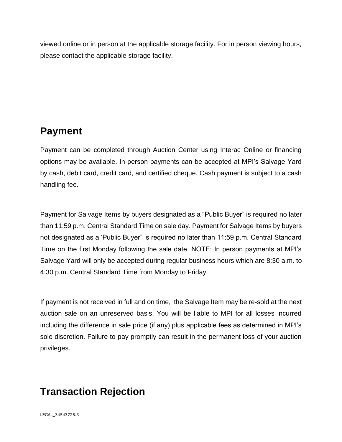viewed online or in person at the applicable storage facility. For in person viewing hours, please contact the applicable storage facility.

## **Payment**

Payment can be completed through Auction Center using Interac Online or financing options may be available. In-person payments can be accepted at MPI's Salvage Yard by cash, debit card, credit card, and certified cheque. Cash payment is subject to a cash handling fee.

Payment for Salvage Items by buyers designated as a "Public Buyer" is required no later than 11:59 p.m. Central Standard Time on sale day. Payment for Salvage Items by buyers not designated as a 'Public Buyer" is required no later than 11:59 p.m. Central Standard Time on the first Monday following the sale date. NOTE: In person payments at MPI's Salvage Yard will only be accepted during regular business hours which are 8:30 a.m. to 4:30 p.m. Central Standard Time from Monday to Friday.

If payment is not received in full and on time, the Salvage Item may be re-sold at the next auction sale on an unreserved basis. You will be liable to MPI for all losses incurred including the difference in sale price (if any) plus applicable fees as determined in MPI's sole discretion. Failure to pay promptly can result in the permanent loss of your auction privileges.

# **Transaction Rejection**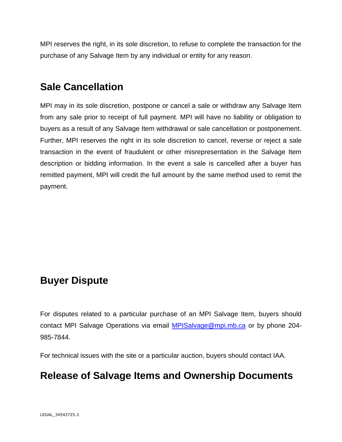MPI reserves the right, in its sole discretion, to refuse to complete the transaction for the purchase of any Salvage Item by any individual or entity for any reason.

#### **Sale Cancellation**

MPI may in its sole discretion, postpone or cancel a sale or withdraw any Salvage Item from any sale prior to receipt of full payment. MPI will have no liability or obligation to buyers as a result of any Salvage Item withdrawal or sale cancellation or postponement. Further, MPI reserves the right in its sole discretion to cancel, reverse or reject a sale transaction in the event of fraudulent or other misrepresentation in the Salvage Item description or bidding information. In the event a sale is cancelled after a buyer has remitted payment, MPI will credit the full amount by the same method used to remit the payment.

## **Buyer Dispute**

For disputes related to a particular purchase of an MPI Salvage Item, buyers should contact MPI Salvage Operations via email [MPISalvage@mpi.mb.ca](mailto:MPISalvage@mpi.mb.ca) or by phone 204- 985-7844.

For technical issues with the site or a particular auction, buyers should contact IAA.

# **Release of Salvage Items and Ownership Documents**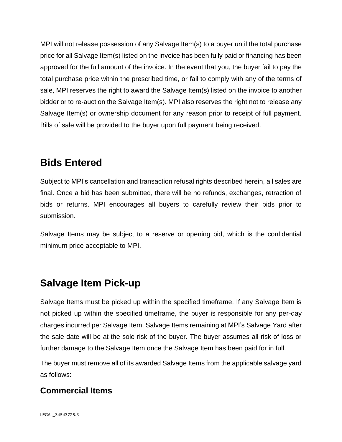MPI will not release possession of any Salvage Item(s) to a buyer until the total purchase price for all Salvage Item(s) listed on the invoice has been fully paid or financing has been approved for the full amount of the invoice. In the event that you, the buyer fail to pay the total purchase price within the prescribed time, or fail to comply with any of the terms of sale, MPI reserves the right to award the Salvage Item(s) listed on the invoice to another bidder or to re-auction the Salvage Item(s). MPI also reserves the right not to release any Salvage Item(s) or ownership document for any reason prior to receipt of full payment. Bills of sale will be provided to the buyer upon full payment being received.

### **Bids Entered**

Subject to MPI's cancellation and transaction refusal rights described herein, all sales are final. Once a bid has been submitted, there will be no refunds, exchanges, retraction of bids or returns. MPI encourages all buyers to carefully review their bids prior to submission.

Salvage Items may be subject to a reserve or opening bid, which is the confidential minimum price acceptable to MPI.

## **Salvage Item Pick-up**

Salvage Items must be picked up within the specified timeframe. If any Salvage Item is not picked up within the specified timeframe, the buyer is responsible for any per-day charges incurred per Salvage Item. Salvage Items remaining at MPI's Salvage Yard after the sale date will be at the sole risk of the buyer. The buyer assumes all risk of loss or further damage to the Salvage Item once the Salvage Item has been paid for in full.

The buyer must remove all of its awarded Salvage Items from the applicable salvage yard as follows:

#### **Commercial Items**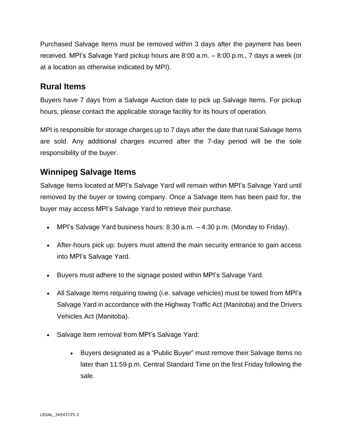Purchased Salvage Items must be removed within 3 days after the payment has been received. MPI's Salvage Yard pickup hours are 8:00 a.m. – 8:00 p.m., 7 days a week (or at a location as otherwise indicated by MPI).

#### **Rural Items**

Buyers have 7 days from a Salvage Auction date to pick up Salvage Items. For pickup hours, please contact the applicable storage facility for its hours of operation.

MPI is responsible for storage charges up to 7 days after the date that rural Salvage Items are sold. Any additional charges incurred after the 7-day period will be the sole responsibility of the buyer.

#### **Winnipeg Salvage Items**

Salvage Items located at MPI's Salvage Yard will remain within MPI's Salvage Yard until removed by the buyer or towing company. Once a Salvage Item has been paid for, the buyer may access MPI's Salvage Yard to retrieve their purchase.

- MPI's Salvage Yard business hours: 8:30 a.m. 4:30 p.m. (Monday to Friday).
- After-hours pick up: buyers must attend the main security entrance to gain access into MPI's Salvage Yard.
- Buyers must adhere to the signage posted within MPI's Salvage Yard.
- All Salvage Items requiring towing (i.e. salvage vehicles) must be towed from MPI's Salvage Yard in accordance with the Highway Traffic Act (Manitoba) and the Drivers Vehicles Act (Manitoba).
- Salvage Item removal from MPI's Salvage Yard:
	- Buyers designated as a "Public Buyer" must remove their Salvage Items no later than 11:59 p.m. Central Standard Time on the first Friday following the sale.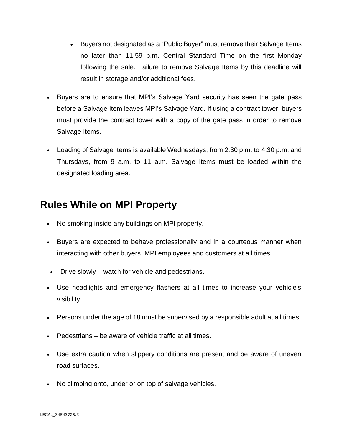- Buyers not designated as a "Public Buyer" must remove their Salvage Items no later than 11:59 p.m. Central Standard Time on the first Monday following the sale. Failure to remove Salvage Items by this deadline will result in storage and/or additional fees.
- Buyers are to ensure that MPI's Salvage Yard security has seen the gate pass before a Salvage Item leaves MPI's Salvage Yard. If using a contract tower, buyers must provide the contract tower with a copy of the gate pass in order to remove Salvage Items.
- Loading of Salvage Items is available Wednesdays, from 2:30 p.m. to 4:30 p.m. and Thursdays, from 9 a.m. to 11 a.m. Salvage Items must be loaded within the designated loading area.

#### **Rules While on MPI Property**

- No smoking inside any buildings on MPI property.
- Buyers are expected to behave professionally and in a courteous manner when interacting with other buyers, MPI employees and customers at all times.
- Drive slowly watch for vehicle and pedestrians.
- Use headlights and emergency flashers at all times to increase your vehicle's visibility.
- Persons under the age of 18 must be supervised by a responsible adult at all times.
- Pedestrians be aware of vehicle traffic at all times.
- Use extra caution when slippery conditions are present and be aware of uneven road surfaces.
- No climbing onto, under or on top of salvage vehicles.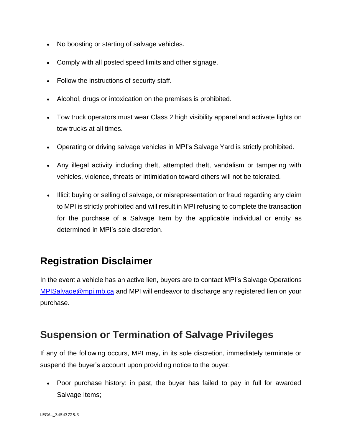- No boosting or starting of salvage vehicles.
- Comply with all posted speed limits and other signage.
- Follow the instructions of security staff.
- Alcohol, drugs or intoxication on the premises is prohibited.
- Tow truck operators must wear Class 2 high visibility apparel and activate lights on tow trucks at all times.
- Operating or driving salvage vehicles in MPI's Salvage Yard is strictly prohibited.
- Any illegal activity including theft, attempted theft, vandalism or tampering with vehicles, violence, threats or intimidation toward others will not be tolerated.
- Illicit buying or selling of salvage, or misrepresentation or fraud regarding any claim to MPI is strictly prohibited and will result in MPI refusing to complete the transaction for the purchase of a Salvage Item by the applicable individual or entity as determined in MPI's sole discretion.

# **Registration Disclaimer**

In the event a vehicle has an active lien, buyers are to contact MPI's Salvage Operations [MPISalvage@mpi.mb.ca](mailto:MPISalvage@mpi.mb.ca) and MPI will endeavor to discharge any registered lien on your purchase.

## **Suspension or Termination of Salvage Privileges**

If any of the following occurs, MPI may, in its sole discretion, immediately terminate or suspend the buyer's account upon providing notice to the buyer:

• Poor purchase history: in past, the buyer has failed to pay in full for awarded Salvage Items;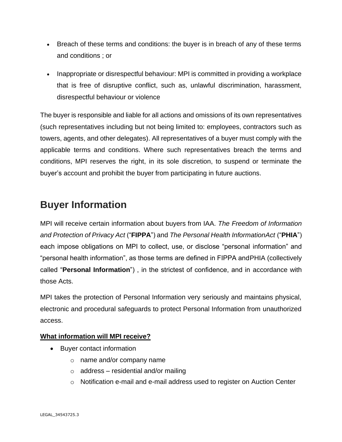- Breach of these terms and conditions: the buyer is in breach of any of these terms and conditions ; or
- Inappropriate or disrespectful behaviour: MPI is committed in providing a workplace that is free of disruptive conflict, such as, unlawful discrimination, harassment, disrespectful behaviour or violence

The buyer is responsible and liable for all actions and omissions of its own representatives (such representatives including but not being limited to: employees, contractors such as towers, agents, and other delegates). All representatives of a buyer must comply with the applicable terms and conditions. Where such representatives breach the terms and conditions, MPI reserves the right, in its sole discretion, to suspend or terminate the buyer's account and prohibit the buyer from participating in future auctions.

#### **Buyer Information**

MPI will receive certain information about buyers from IAA. *The Freedom of Information and Protection of Privacy Act* ("**FIPPA**") and *The Personal Health InformationAct* ("**PHIA**") each impose obligations on MPI to collect, use, or disclose "personal information" and "personal health information", as those terms are defined in FIPPA andPHIA (collectively called "**Personal Information**") , in the strictest of confidence, and in accordance with those Acts.

MPI takes the protection of Personal Information very seriously and maintains physical, electronic and procedural safeguards to protect Personal Information from unauthorized access.

#### **What information will MPI receive?**

- Buyer contact information
	- o name and/or company name
	- $\circ$  address residential and/or mailing
	- o Notification e-mail and e-mail address used to register on Auction Center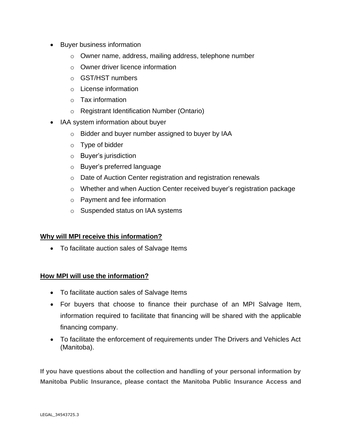- Buyer business information
	- o Owner name, address, mailing address, telephone number
	- o Owner driver licence information
	- o GST/HST numbers
	- o License information
	- o Tax information
	- o Registrant Identification Number (Ontario)
- IAA system information about buyer
	- o Bidder and buyer number assigned to buyer by IAA
	- o Type of bidder
	- o Buyer's jurisdiction
	- o Buyer's preferred language
	- o Date of Auction Center registration and registration renewals
	- o Whether and when Auction Center received buyer's registration package
	- o Payment and fee information
	- o Suspended status on IAA systems

#### **Why will MPI receive this information?**

• To facilitate auction sales of Salvage Items

#### **How MPI will use the information?**

- To facilitate auction sales of Salvage Items
- For buyers that choose to finance their purchase of an MPI Salvage Item, information required to facilitate that financing will be shared with the applicable financing company.
- To facilitate the enforcement of requirements under The Drivers and Vehicles Act (Manitoba).

**If you have questions about the collection and handling of your personal information by Manitoba Public Insurance, please contact the Manitoba Public Insurance Access and**